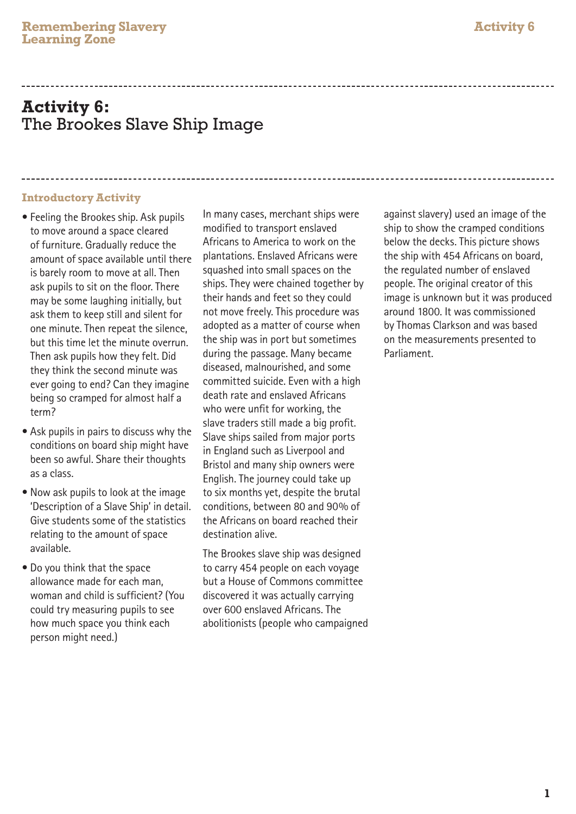# **Activity 6:** The Brookes Slave Ship Image

#### **Introductory Activity**

- Feeling the Brookes ship. Ask pupils to move around a space cleared of furniture. Gradually reduce the amount of space available until there is barely room to move at all. Then ask pupils to sit on the floor. There may be some laughing initially, but ask them to keep still and silent for one minute. Then repeat the silence, but this time let the minute overrun. Then ask pupils how they felt. Did they think the second minute was ever going to end? Can they imagine being so cramped for almost half a term?
- Ask pupils in pairs to discuss why the conditions on board ship might have been so awful. Share their thoughts as a class.
- Now ask pupils to look at the image 'Description of a Slave Ship' in detail. Give students some of the statistics relating to the amount of space available.
- Do you think that the space allowance made for each man, woman and child is sufficient? (You could try measuring pupils to see how much space you think each person might need.)

In many cases, merchant ships were modified to transport enslaved Africans to America to work on the plantations. Enslaved Africans were squashed into small spaces on the ships. They were chained together by their hands and feet so they could not move freely. This procedure was adopted as a matter of course when the ship was in port but sometimes during the passage. Many became diseased, malnourished, and some committed suicide. Even with a high death rate and enslaved Africans who were unfit for working, the slave traders still made a big profit. Slave ships sailed from major ports in England such as Liverpool and Bristol and many ship owners were English. The journey could take up to six months yet, despite the brutal conditions, between 80 and 90% of the Africans on board reached their destination alive.

The Brookes slave ship was designed to carry 454 people on each voyage but a House of Commons committee discovered it was actually carrying over 600 enslaved Africans. The abolitionists (people who campaigned against slavery) used an image of the ship to show the cramped conditions below the decks. This picture shows the ship with 454 Africans on board, the regulated number of enslaved people. The original creator of this image is unknown but it was produced around 1800. It was commissioned by Thomas Clarkson and was based on the measurements presented to Parliament.